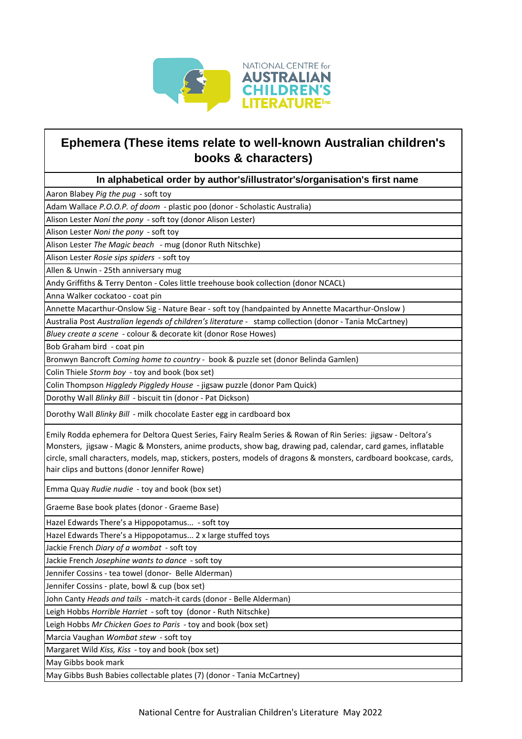

## **Ephemera (These items relate to well-known Australian children's books & characters)**

## **In alphabetical order by author's/illustrator's/organisation's first name**

Aaron Blabey *Pig the pug* - soft toy

Adam Wallace *P.O.O.P. of doom* - plastic poo (donor - Scholastic Australia)

Alison Lester *Noni the pony* - soft toy (donor Alison Lester)

Alison Lester *Noni the pony* - soft toy

Alison Lester *The Magic beach* - mug (donor Ruth Nitschke)

Alison Lester *Rosie sips spiders* - soft toy

Allen & Unwin - 25th anniversary mug

Andy Griffiths & Terry Denton - Coles little treehouse book collection (donor NCACL)

Anna Walker cockatoo - coat pin

Annette Macarthur-Onslow Sig - Nature Bear - soft toy (handpainted by Annette Macarthur-Onslow )

Australia Post *Australian legends of children's literature -* stamp collection (donor - Tania McCartney)

*Bluey create a scene* - colour & decorate kit (donor Rose Howes)

Bob Graham bird - coat pin

Bronwyn Bancroft *Coming home to country* - book & puzzle set (donor Belinda Gamlen)

Colin Thiele *Storm boy* - toy and book (box set)

Colin Thompson *Higgledy Piggledy House* - jigsaw puzzle (donor Pam Quick)

Dorothy Wall *Blinky Bill* - biscuit tin (donor - Pat Dickson)

Dorothy Wall *Blinky Bill* - milk chocolate Easter egg in cardboard box

Emily Rodda ephemera for Deltora Quest Series, Fairy Realm Series & Rowan of Rin Series: jigsaw - Deltora's Monsters, jigsaw - Magic & Monsters, anime products, show bag, drawing pad, calendar, card games, inflatable circle, small characters, models, map, stickers, posters, models of dragons & monsters, cardboard bookcase, cards, hair clips and buttons (donor Jennifer Rowe)

Emma Quay *Rudie nudie* - toy and book (box set)

Graeme Base book plates (donor - Graeme Base)

Hazel Edwards There's a Hippopotamus... - soft toy

Hazel Edwards There's a Hippopotamus... 2 x large stuffed toys

Jackie French *Diary of a wombat* - soft toy

Jackie French *Josephine wants to dance* - soft toy

Jennifer Cossins - tea towel (donor- Belle Alderman)

Jennifer Cossins - plate, bowl & cup (box set)

John Canty *Heads and tails* - match-it cards (donor - Belle Alderman)

Leigh Hobbs *Horrible Harriet* - soft toy (donor - Ruth Nitschke)

Leigh Hobbs *Mr Chicken Goes to Paris* - toy and book (box set)

Marcia Vaughan *Wombat stew* - soft toy

Margaret Wild *Kiss, Kiss* - toy and book (box set)

May Gibbs book mark

May Gibbs Bush Babies collectable plates (7) (donor - Tania McCartney)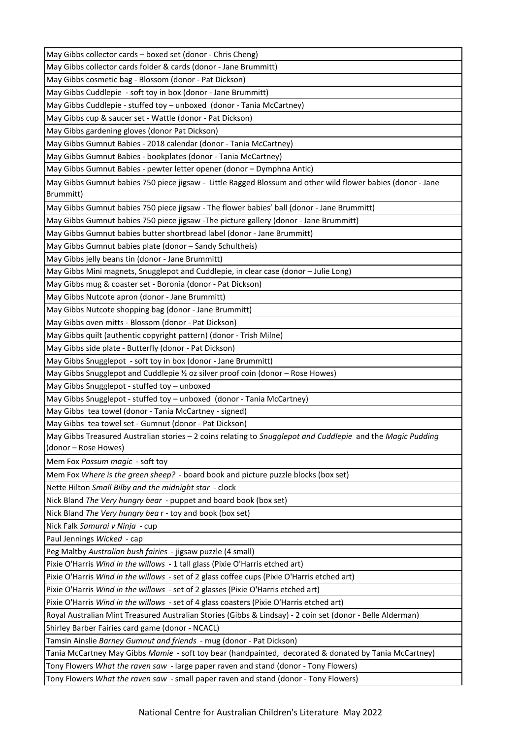May Gibbs collector cards – boxed set (donor - Chris Cheng)

May Gibbs collector cards folder & cards (donor - Jane Brummitt)

May Gibbs cosmetic bag - Blossom (donor - Pat Dickson)

May Gibbs Cuddlepie - soft toy in box (donor - Jane Brummitt)

May Gibbs Cuddlepie - stuffed toy – unboxed (donor - Tania McCartney)

May Gibbs cup & saucer set - Wattle (donor - Pat Dickson)

May Gibbs gardening gloves (donor Pat Dickson)

May Gibbs Gumnut Babies - 2018 calendar (donor - Tania McCartney)

May Gibbs Gumnut Babies - bookplates (donor - Tania McCartney)

May Gibbs Gumnut Babies - pewter letter opener (donor – Dymphna Antic)

May Gibbs Gumnut babies 750 piece jigsaw - Little Ragged Blossum and other wild flower babies (donor - Jane Brummitt)

May Gibbs Gumnut babies 750 piece jigsaw - The flower babies' ball (donor - Jane Brummitt)

May Gibbs Gumnut babies 750 piece jigsaw -The picture gallery (donor - Jane Brummitt)

May Gibbs Gumnut babies butter shortbread label (donor - Jane Brummitt)

May Gibbs Gumnut babies plate (donor – Sandy Schultheis)

May Gibbs jelly beans tin (donor - Jane Brummitt)

May Gibbs Mini magnets, Snugglepot and Cuddlepie, in clear case (donor – Julie Long)

May Gibbs mug & coaster set - Boronia (donor - Pat Dickson)

May Gibbs Nutcote apron (donor - Jane Brummitt)

May Gibbs Nutcote shopping bag (donor - Jane Brummitt)

May Gibbs oven mitts - Blossom (donor - Pat Dickson)

May Gibbs quilt (authentic copyright pattern) (donor - Trish Milne)

May Gibbs side plate - Butterfly (donor - Pat Dickson)

May Gibbs Snugglepot - soft toy in box (donor - Jane Brummitt)

May Gibbs Snugglepot and Cuddlepie ½ oz silver proof coin (donor – Rose Howes)

May Gibbs Snugglepot - stuffed toy – unboxed

May Gibbs Snugglepot - stuffed toy – unboxed (donor - Tania McCartney)

May Gibbs tea towel (donor - Tania McCartney - signed)

May Gibbs tea towel set - Gumnut (donor - Pat Dickson)

May Gibbs Treasured Australian stories – 2 coins relating to *Snugglepot and Cuddlepie* and the *Magic Pudding*  (donor – Rose Howes)

Mem Fox *Possum magic* - soft toy

Mem Fox *Where is the green sheep?* - board book and picture puzzle blocks (box set)

Nette Hilton *Small Bilby and the midnight star* - clock

Nick Bland *The Very hungry bear* - puppet and board book (box set)

Nick Bland *The Very hungry bea* r - toy and book (box set)

Nick Falk *Samurai v Ninja* - cup

Paul Jennings *Wicked* - cap

Peg Maltby *Australian bush fairies* - jigsaw puzzle (4 small)

Pixie O'Harris *Wind in the willows* - 1 tall glass (Pixie O'Harris etched art)

Pixie O'Harris *Wind in the willows* - set of 2 glass coffee cups (Pixie O'Harris etched art)

Pixie O'Harris *Wind in the willows* - set of 2 glasses (Pixie O'Harris etched art)

Pixie O'Harris *Wind in the willows* - set of 4 glass coasters (Pixie O'Harris etched art)

Royal Australian Mint Treasured Australian Stories (Gibbs & Lindsay) - 2 coin set (donor - Belle Alderman)

Shirley Barber Fairies card game (donor - NCACL)

Tamsin Ainslie *Barney Gumnut and friends* - mug (donor - Pat Dickson)

Tania McCartney May Gibbs *Mamie* - soft toy bear (handpainted, decorated & donated by Tania McCartney)

Tony Flowers *What the raven saw* - large paper raven and stand (donor - Tony Flowers)

Tony Flowers *What the raven saw* - small paper raven and stand (donor - Tony Flowers)